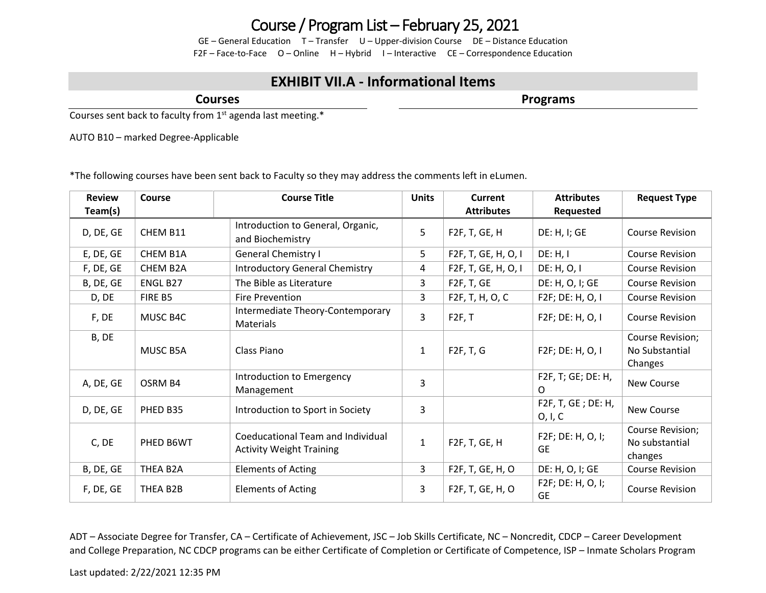## Course / Program List – February 25, 2021

GE – General Education T – Transfer U – Upper-division Course DE – Distance Education F2F – Face-to-Face O – Online H – Hybrid I – Interactive CE – Correspondence Education

## **EXHIBIT VII.A - Informational Items**

**Courses**

**Programs**

Courses sent back to faculty from  $1<sup>st</sup>$  agenda last meeting.\*

AUTO B10 – marked Degree-Applicable

\*The following courses have been sent back to Faculty so they may address the comments left in eLumen.

| <b>Review</b> | Course    | <b>Course Title</b>                                                  | <b>Units</b> | <b>Current</b>          | <b>Attributes</b>                 | <b>Request Type</b>                           |
|---------------|-----------|----------------------------------------------------------------------|--------------|-------------------------|-----------------------------------|-----------------------------------------------|
| Team(s)       |           |                                                                      |              | <b>Attributes</b>       | Requested                         |                                               |
| D, DE, GE     | CHEM B11  | Introduction to General, Organic,<br>and Biochemistry                | 5            | F2F, T, GE, H           | DE: H, I; GE                      | <b>Course Revision</b>                        |
| E, DE, GE     | CHEM B1A  | <b>General Chemistry I</b>                                           | 5            | F2F, T, GE, H, O, I     | DE: H, I                          | <b>Course Revision</b>                        |
| F, DE, GE     | CHEM B2A  | <b>Introductory General Chemistry</b>                                | 4            | F2F, T, GE, H, O, I     | DE: H, O, I                       | <b>Course Revision</b>                        |
| B, DE, GE     | ENGL B27  | The Bible as Literature                                              | 3            | F <sub>2F</sub> , T, GE | DE: H, O, I; GE                   | <b>Course Revision</b>                        |
| D, DE         | FIRE B5   | <b>Fire Prevention</b>                                               | 3            | F2F, T, H, O, C         | F2F; DE: H, O, I                  | <b>Course Revision</b>                        |
| F, DE         | MUSC B4C  | Intermediate Theory-Contemporary<br>Materials                        | 3            | F2F, T                  | F2F; DE: H, O, I                  | <b>Course Revision</b>                        |
| B, DE         | MUSC B5A  | Class Piano                                                          | 1            | F2F, T, G               | F2F; DE: H, O, I                  | Course Revision;<br>No Substantial<br>Changes |
| A, DE, GE     | OSRM B4   | Introduction to Emergency<br>Management                              | 3            |                         | F2F, T; GE; DE: H,<br>O           | New Course                                    |
| D, DE, GE     | PHED B35  | Introduction to Sport in Society                                     | 3            |                         | F2F, T, GE; DE: H,<br>O, I, C     | New Course                                    |
| C, DE         | PHED B6WT | Coeducational Team and Individual<br><b>Activity Weight Training</b> | 1            | F2F, T, GE, H           | F2F; DE: H, O, I;<br><b>GE</b>    | Course Revision;<br>No substantial<br>changes |
| B, DE, GE     | THEA B2A  | <b>Elements of Acting</b>                                            | 3            | F2F, T, GE, H, O        | DE: H, O, I; GE                   | <b>Course Revision</b>                        |
| F, DE, GE     | THEA B2B  | <b>Elements of Acting</b>                                            | 3            | F2F, T, GE, H, O        | $F2F$ ; DE: H, O, I;<br><b>GE</b> | <b>Course Revision</b>                        |

ADT – Associate Degree for Transfer, CA – Certificate of Achievement, JSC – Job Skills Certificate, NC – Noncredit, CDCP – Career Development and College Preparation, NC CDCP programs can be either Certificate of Completion or Certificate of Competence, ISP – Inmate Scholars Program